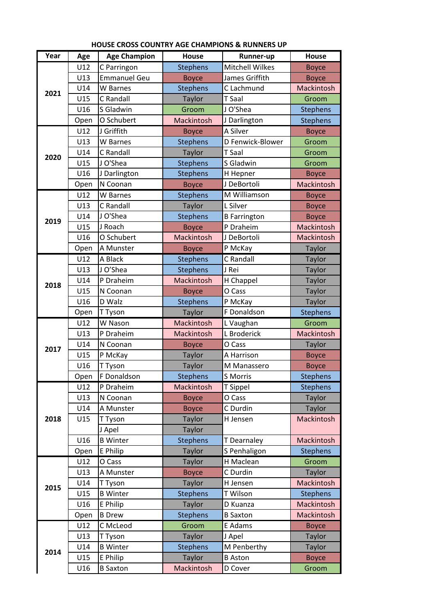| Year | Age  | <b>Age Champion</b> | <b>House</b>    | Runner-up           | <b>House</b>      |
|------|------|---------------------|-----------------|---------------------|-------------------|
| 2021 | U12  | C Parringon         | <b>Stephens</b> | Mitchell Wilkes     | <b>Boyce</b>      |
|      | U13  | <b>Emmanuel Geu</b> | <b>Boyce</b>    | James Griffith      | <b>Boyce</b>      |
|      | U14  | W Barnes            | <b>Stephens</b> | C Lachmund          | Mackintosh        |
|      | U15  | C Randall           | Taylor          | <b>T</b> Saal       | Groom             |
|      | U16  | S Gladwin           | Groom           | J O'Shea            | <b>Stephens</b>   |
|      | Open | O Schubert          | Mackintosh      | J Darlington        | <b>Stephens</b>   |
| 2020 | U12  | J Griffith          | <b>Boyce</b>    | A Silver            | <b>Boyce</b>      |
|      | U13  | W Barnes            | <b>Stephens</b> | D Fenwick-Blower    | Groom             |
|      | U14  | C Randall           | Taylor          | T Saal              | Groom             |
|      | U15  | J O'Shea            | <b>Stephens</b> | S Gladwin           | Groom             |
|      | U16  | J Darlington        | <b>Stephens</b> | H Hepner            | <b>Boyce</b>      |
|      | Open | N Coonan            | <b>Boyce</b>    | J DeBortoli         | Mackintosh        |
| 2019 | U12  | W Barnes            | <b>Stephens</b> | M Williamson        | <b>Boyce</b>      |
|      | U13  | C Randall           | Taylor          | L Silver            | <b>Boyce</b>      |
|      | U14  | J O'Shea            | <b>Stephens</b> | <b>B</b> Farrington | <b>Boyce</b>      |
|      | U15  | J Roach             | <b>Boyce</b>    | P Draheim           | Mackintosh        |
|      | U16  | O Schubert          | Mackintosh      | J DeBortoli         | Mackintosh        |
|      | Open | A Munster           | <b>Boyce</b>    | P McKay             | Taylor            |
|      | U12  | A Black             | <b>Stephens</b> | C Randall           | Taylor            |
|      | U13  | J O'Shea            | <b>Stephens</b> | J Rei               | Taylor            |
|      | U14  | P Draheim           | Mackintosh      | H Chappel           | Taylor            |
| 2018 | U15  | N Coonan            | <b>Boyce</b>    | O Cass              | Taylor            |
|      | U16  | D Walz              | <b>Stephens</b> | P McKay             | Taylor            |
|      | Open | T Tyson             | <b>Taylor</b>   | F Donaldson         | <b>Stephens</b>   |
|      | U12  | W Nason             | Mackintosh      | L Vaughan           | Groom             |
|      | U13  | P Draheim           | Mackintosh      | L Broderick         | Mackintosh        |
|      | U14  | N Coonan            | <b>Boyce</b>    | O Cass              | Taylor            |
| 2017 | U15  | P McKay             | <b>Taylor</b>   | A Harrison          | <b>Boyce</b>      |
|      | U16  | T Tyson             | <b>Taylor</b>   | M Manassero         | <b>Boyce</b>      |
|      | Open | F Donaldson         | <b>Stephens</b> | S Morris            | <b>Stephens</b>   |
| 2018 | U12  | P Draheim           | Mackintosh      | T Sippel            | <b>Stephens</b>   |
|      | U13  | N Coonan            | <b>Boyce</b>    | O Cass              | Taylor            |
|      | U14  | A Munster           | <b>Boyce</b>    | C Durdin            | Taylor            |
|      | U15  | T Tyson             | Taylor          | H Jensen            | <b>Mackintosh</b> |
|      |      | J Apel              | Taylor          |                     |                   |
|      | U16  | <b>B</b> Winter     | <b>Stephens</b> | T Dearnaley         | Mackintosh        |
|      | Open | E Philip            | <b>Taylor</b>   | S Penhaligon        | <b>Stephens</b>   |
|      | U12  | O Cass              | <b>Taylor</b>   | H Maclean           | Groom             |
| 2015 | U13  | A Munster           | <b>Boyce</b>    | C Durdin            | Taylor            |
|      | U14  | T Tyson             | <b>Taylor</b>   | H Jensen            | Mackintosh        |
|      | U15  | <b>B</b> Winter     | <b>Stephens</b> | T Wilson            | <b>Stephens</b>   |
|      | U16  | E Philip            | <b>Taylor</b>   | D Kuanza            | Mackintosh        |
|      | Open | <b>B</b> Drew       | <b>Stephens</b> | <b>B</b> Saxton     | Mackintosh        |
| 2014 | U12  | C McLeod            | Groom           | E Adams             | <b>Boyce</b>      |
|      | U13  | T Tyson             | <b>Taylor</b>   | J Apel              | <b>Taylor</b>     |
|      | U14  | <b>B</b> Winter     | <b>Stephens</b> | M Penberthy         | Taylor            |
|      | U15  | E Philip            | <b>Taylor</b>   | <b>B</b> Aston      | <b>Boyce</b>      |
|      | U16  | <b>B</b> Saxton     | Mackintosh      | D Cover             | Groom             |

## **HOUSE CROSS COUNTRY AGE CHAMPIONS & RUNNERS UP**